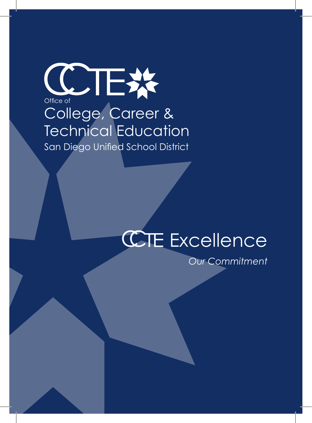# COTEX College, Career & Technical Education San Diego Unified School District

# **CHE Excellence**

*Our Commitment*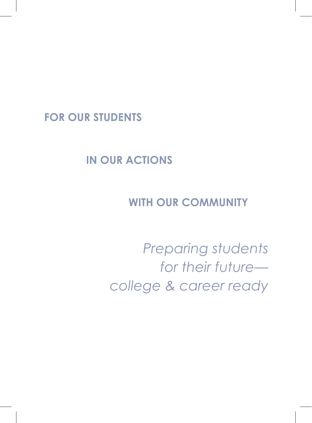# **FOR OUR STUDENTS**

# **IN OUR ACTIONS**

# **WITH OUR COMMUNITY**

*Preparing students for their future college & career ready*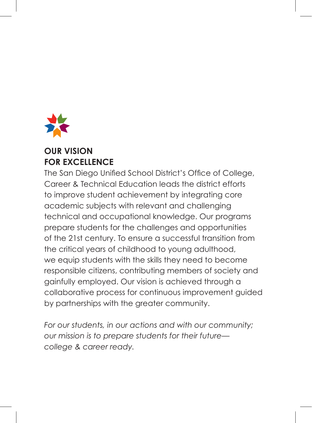

#### **OUR VISION FOR EXCELLENCE**

The San Diego Unified School District's Office of College, Career & Technical Education leads the district efforts to improve student achievement by integrating core academic subjects with relevant and challenging technical and occupational knowledge. Our programs prepare students for the challenges and opportunities of the 21st century. To ensure a successful transition from the critical years of childhood to young adulthood, we equip students with the skills they need to become responsible citizens, contributing members of society and gainfully employed. Our vision is achieved through a collaborative process for continuous improvement guided by partnerships with the greater community.

*For our students, in our actions and with our community; our mission is to prepare students for their future college & career ready.*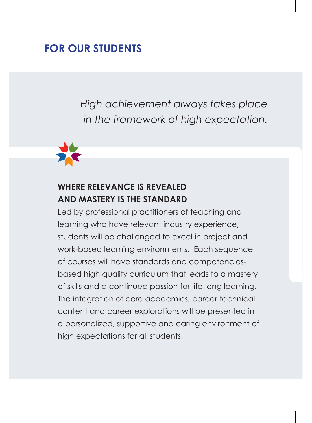# **FOR OUR STUDENTS**

*High achievement always takes place in the framework of high expectation.*



#### **WHERE RELEVANCE IS REVEALED AND MASTERY IS THE STANDARD**

Led by professional practitioners of teaching and learning who have relevant industry experience, students will be challenged to excel in project and work-based learning environments. Each sequence of courses will have standards and competenciesbased high quality curriculum that leads to a mastery of skills and a continued passion for life-long learning. The integration of core academics, career technical content and career explorations will be presented in a personalized, supportive and caring environment of high expectations for all students.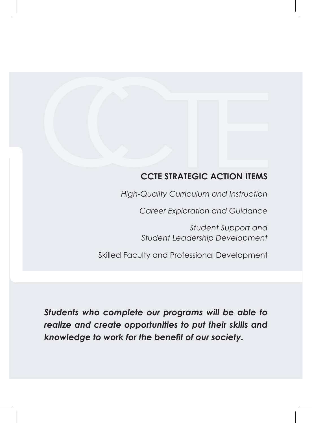#### **CCTE STRATEGIC ACTION ITEMS**

*High-Quality Curriculum and Instruction*

*Career Exploration and Guidance*

*Student Support and Student Leadership Development*

Skilled Faculty and Professional Development

*Students who complete our programs will be able to realize and create opportunities to put their skills and knowledge to work for the benefit of our society.*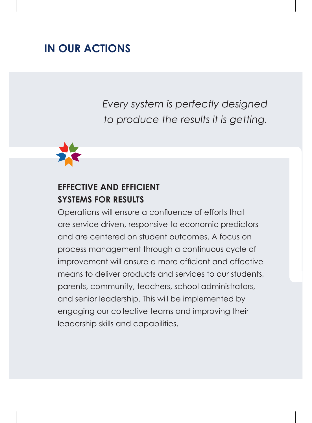# **IN OUR ACTIONS**

*Every system is perfectly designed to produce the results it is getting.*



#### **EFFECTIVE AND EFFICIENT SYSTEMS FOR RESULTS**

Operations will ensure a confluence of efforts that are service driven, responsive to economic predictors and are centered on student outcomes. A focus on process management through a continuous cycle of improvement will ensure a more efficient and effective means to deliver products and services to our students, parents, community, teachers, school administrators, and senior leadership. This will be implemented by engaging our collective teams and improving their leadership skills and capabilities.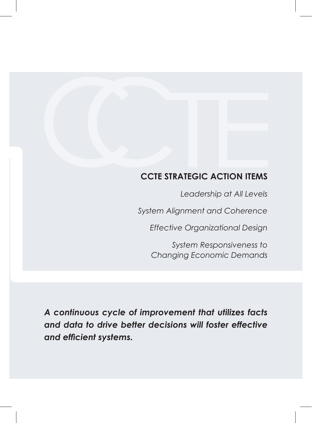#### **CCTE STRATEGIC ACTION ITEMS**

*Leadership at All Levels System Alignment and Coherence Effective Organizational Design*

> *System Responsiveness to Changing Economic Demands*

*A continuous cycle of improvement that utilizes facts and data to drive better decisions will foster effective and efficient systems.*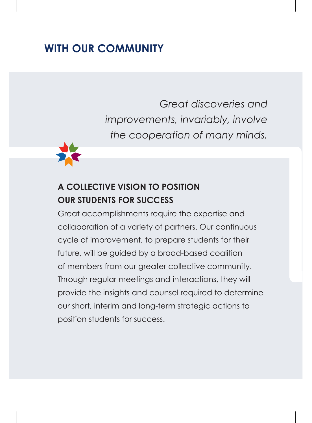# **WITH OUR COMMUNITY**

 *Great discoveries and improvements, invariably, involve the cooperation of many minds.*



### **A COLLECTIVE VISION TO POSITION OUR STUDENTS FOR SUCCESS**

Great accomplishments require the expertise and collaboration of a variety of partners. Our continuous cycle of improvement, to prepare students for their future, will be guided by a broad-based coalition of members from our greater collective community. Through regular meetings and interactions, they will provide the insights and counsel required to determine our short, interim and long-term strategic actions to position students for success.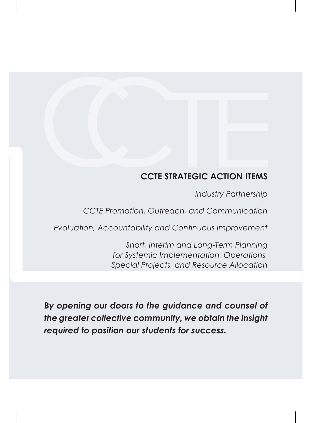#### **CCTE STRATEGIC ACTION ITEMS**

*Industry Partnership*

*CCTE Promotion, Outreach, and Communication*

*Evaluation, Accountability and Continuous Improvement*

*Short, Interim and Long-Term Planning for Systemic Implementation, Operations, Special Projects, and Resource Allocation* 

*By opening our doors to the guidance and counsel of the greater collective community, we obtain the insight required to position our students for success.*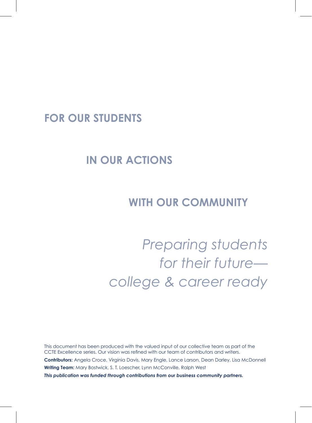#### **FOR OUR STUDENTS**

# **IN OUR ACTIONS**

## **WITH OUR COMMUNITY**

*Preparing students for their future college & career ready*

This document has been produced with the valued input of our collective team as part of the CCTE Excellence series. Our vision was refined with our team of contributors and writers. **Contributors:** Angela Croce, Virginia Davis, Mary Engle, Lance Larson, Dean Darley, Lisa McDonnell **Writing Team:** Mary Bostwick, S. T. Loescher, Lynn McConville, Ralph West *This publication was funded through contributions from our business community partners.*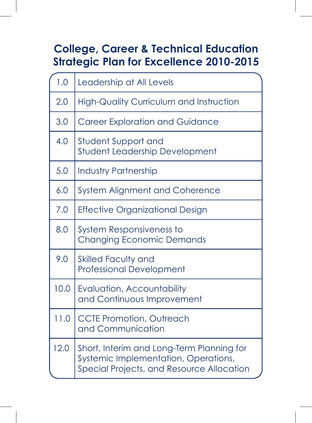# **College, Career & Technical Education Strategic Plan for Excellence 2010-2015**

| 1.0  | Leadership at All Levels                                                                                                       |
|------|--------------------------------------------------------------------------------------------------------------------------------|
| 2.0  | <b>High-Quality Curriculum and Instruction</b>                                                                                 |
| 3.0  | <b>Career Exploration and Guidance</b>                                                                                         |
| 4.0  | Student Support and<br>Student Leadership Development                                                                          |
| 5.0  | <b>Industry Partnership</b>                                                                                                    |
| 6.0  | System Alignment and Coherence                                                                                                 |
| 7.0  | Effective Organizational Design                                                                                                |
| 8.0  | System Responsiveness to<br><b>Changing Economic Demands</b>                                                                   |
| 9.0  | <b>Skilled Faculty and</b><br><b>Professional Development</b>                                                                  |
| 10.0 | Evaluation, Accountability<br>and Continuous Improvement                                                                       |
| 11.0 | <b>CCTE Promotion, Outreach</b><br>and Communication                                                                           |
| 12.0 | Short, Interim and Long-Term Planning for<br>Systemic Implementation, Operations,<br>Special Projects, and Resource Allocation |